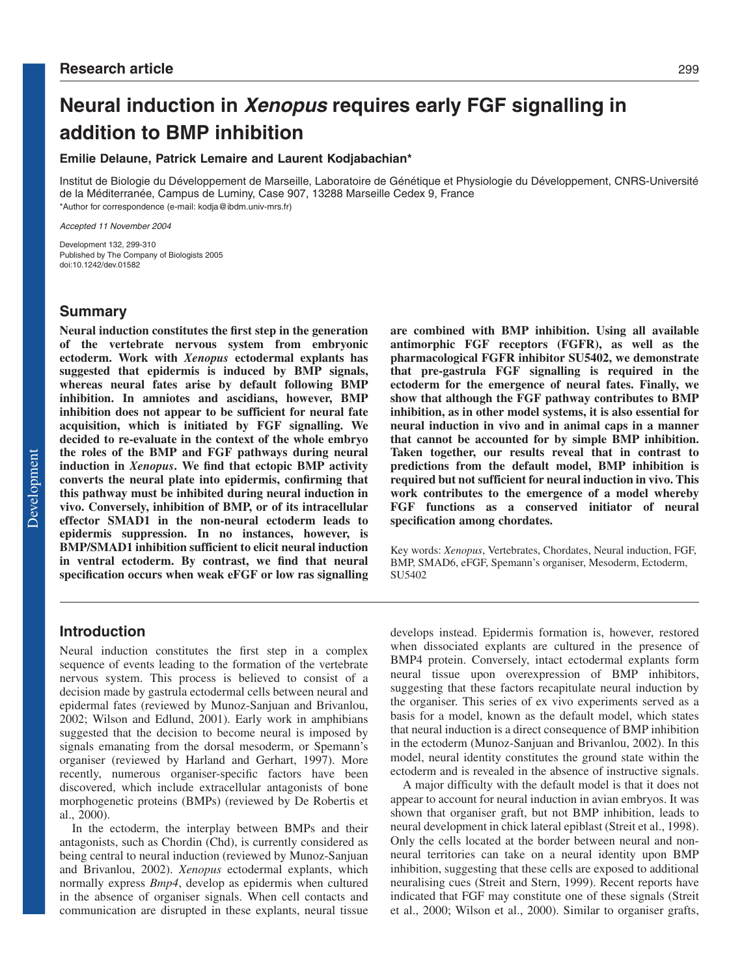# **Neural induction in Xenopus requires early FGF signalling in addition to BMP inhibition**

### **Emilie Delaune, Patrick Lemaire and Laurent Kodjabachian\***

Institut de Biologie du Développement de Marseille, Laboratoire de Génétique et Physiologie du Développement, CNRS-Université de la Méditerranée, Campus de Luminy, Case 907, 13288 Marseille Cedex 9, France \*Author for correspondence (e-mail: kodja@ibdm.univ-mrs.fr)

Accepted 11 November 2004

Development 132, 299-310 Published by The Company of Biologists 2005 doi:10.1242/dev.01582

# **Summary**

**Neural induction constitutes the first step in the generation of the vertebrate nervous system from embryonic ectoderm. Work with** *Xenopus* **ectodermal explants has suggested that epidermis is induced by BMP signals, whereas neural fates arise by default following BMP inhibition. In amniotes and ascidians, however, BMP inhibition does not appear to be sufficient for neural fate acquisition, which is initiated by FGF signalling. We decided to re-evaluate in the context of the whole embryo the roles of the BMP and FGF pathways during neural induction in** *Xenopus***. We find that ectopic BMP activity converts the neural plate into epidermis, confirming that this pathway must be inhibited during neural induction in vivo. Conversely, inhibition of BMP, or of its intracellular effector SMAD1 in the non-neural ectoderm leads to epidermis suppression. In no instances, however, is BMP/SMAD1 inhibition sufficient to elicit neural induction in ventral ectoderm. By contrast, we find that neural specification occurs when weak eFGF or low ras signalling** **are combined with BMP inhibition. Using all available antimorphic FGF receptors (FGFR), as well as the pharmacological FGFR inhibitor SU5402, we demonstrate that pre-gastrula FGF signalling is required in the ectoderm for the emergence of neural fates. Finally, we show that although the FGF pathway contributes to BMP inhibition, as in other model systems, it is also essential for neural induction in vivo and in animal caps in a manner that cannot be accounted for by simple BMP inhibition. Taken together, our results reveal that in contrast to predictions from the default model, BMP inhibition is required but not sufficient for neural induction in vivo. This work contributes to the emergence of a model whereby FGF functions as a conserved initiator of neural specification among chordates.**

Key words: *Xenopus*, Vertebrates, Chordates, Neural induction, FGF, BMP, SMAD6, eFGF, Spemann's organiser, Mesoderm, Ectoderm, SU5402

# **Introduction**

Neural induction constitutes the first step in a complex sequence of events leading to the formation of the vertebrate nervous system. This process is believed to consist of a decision made by gastrula ectodermal cells between neural and epidermal fates (reviewed by Munoz-Sanjuan and Brivanlou, 2002; Wilson and Edlund, 2001). Early work in amphibians suggested that the decision to become neural is imposed by signals emanating from the dorsal mesoderm, or Spemann's organiser (reviewed by Harland and Gerhart, 1997). More recently, numerous organiser-specific factors have been discovered, which include extracellular antagonists of bone morphogenetic proteins (BMPs) (reviewed by De Robertis et al., 2000).

In the ectoderm, the interplay between BMPs and their antagonists, such as Chordin (Chd), is currently considered as being central to neural induction (reviewed by Munoz-Sanjuan and Brivanlou, 2002). *Xenopus* ectodermal explants, which normally express *Bmp4*, develop as epidermis when cultured in the absence of organiser signals. When cell contacts and communication are disrupted in these explants, neural tissue develops instead. Epidermis formation is, however, restored when dissociated explants are cultured in the presence of BMP4 protein. Conversely, intact ectodermal explants form neural tissue upon overexpression of BMP inhibitors, suggesting that these factors recapitulate neural induction by the organiser. This series of ex vivo experiments served as a basis for a model, known as the default model, which states that neural induction is a direct consequence of BMP inhibition in the ectoderm (Munoz-Sanjuan and Brivanlou, 2002). In this model, neural identity constitutes the ground state within the ectoderm and is revealed in the absence of instructive signals.

A major difficulty with the default model is that it does not appear to account for neural induction in avian embryos. It was shown that organiser graft, but not BMP inhibition, leads to neural development in chick lateral epiblast (Streit et al., 1998). Only the cells located at the border between neural and nonneural territories can take on a neural identity upon BMP inhibition, suggesting that these cells are exposed to additional neuralising cues (Streit and Stern, 1999). Recent reports have indicated that FGF may constitute one of these signals (Streit et al., 2000; Wilson et al., 2000). Similar to organiser grafts,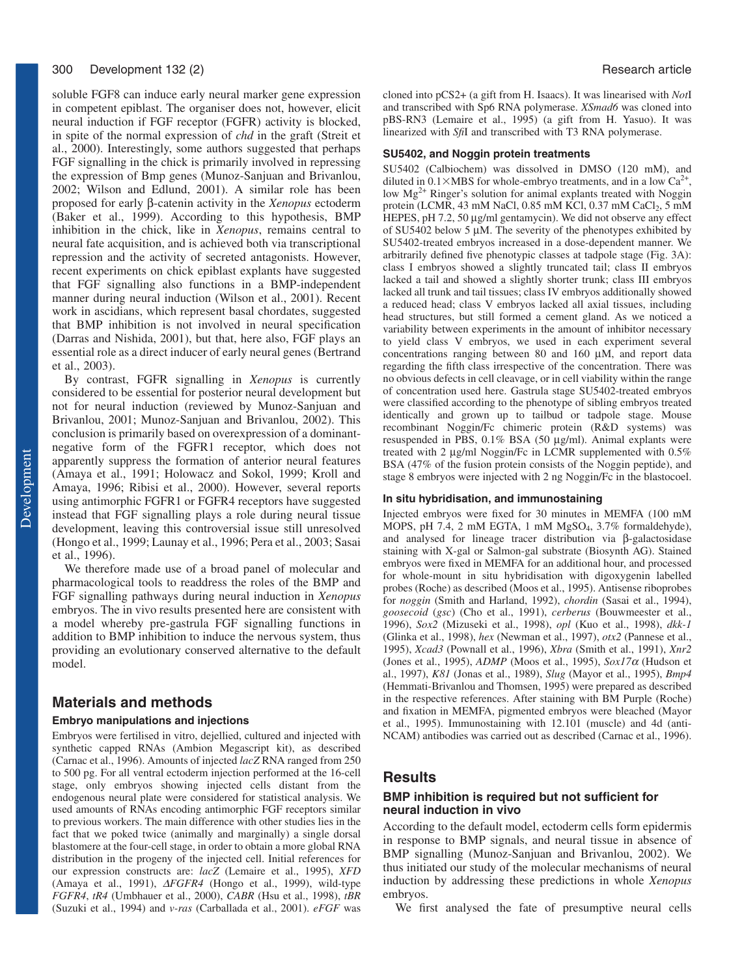#### 300 Development 132 (2) **Research article Development 132 (2)** Research article

soluble FGF8 can induce early neural marker gene expression in competent epiblast. The organiser does not, however, elicit neural induction if FGF receptor (FGFR) activity is blocked, in spite of the normal expression of *chd* in the graft (Streit et al., 2000). Interestingly, some authors suggested that perhaps FGF signalling in the chick is primarily involved in repressing the expression of Bmp genes (Munoz-Sanjuan and Brivanlou, 2002; Wilson and Edlund, 2001). A similar role has been proposed for early β-catenin activity in the *Xenopus* ectoderm (Baker et al., 1999). According to this hypothesis, BMP inhibition in the chick, like in *Xenopus*, remains central to neural fate acquisition, and is achieved both via transcriptional repression and the activity of secreted antagonists. However, recent experiments on chick epiblast explants have suggested that FGF signalling also functions in a BMP-independent manner during neural induction (Wilson et al., 2001). Recent work in ascidians, which represent basal chordates, suggested that BMP inhibition is not involved in neural specification (Darras and Nishida, 2001), but that, here also, FGF plays an essential role as a direct inducer of early neural genes (Bertrand et al., 2003).

By contrast, FGFR signalling in *Xenopus* is currently considered to be essential for posterior neural development but not for neural induction (reviewed by Munoz-Sanjuan and Brivanlou, 2001; Munoz-Sanjuan and Brivanlou, 2002). This conclusion is primarily based on overexpression of a dominantnegative form of the FGFR1 receptor, which does not apparently suppress the formation of anterior neural features (Amaya et al., 1991; Holowacz and Sokol, 1999; Kroll and Amaya, 1996; Ribisi et al., 2000). However, several reports using antimorphic FGFR1 or FGFR4 receptors have suggested instead that FGF signalling plays a role during neural tissue development, leaving this controversial issue still unresolved (Hongo et al., 1999; Launay et al., 1996; Pera et al., 2003; Sasai et al., 1996).

We therefore made use of a broad panel of molecular and pharmacological tools to readdress the roles of the BMP and FGF signalling pathways during neural induction in *Xenopus* embryos. The in vivo results presented here are consistent with a model whereby pre-gastrula FGF signalling functions in addition to BMP inhibition to induce the nervous system, thus providing an evolutionary conserved alternative to the default model.

# **Materials and methods**

#### **Embryo manipulations and injections**

Embryos were fertilised in vitro, dejellied, cultured and injected with synthetic capped RNAs (Ambion Megascript kit), as described (Carnac et al., 1996). Amounts of injected *lacZ* RNA ranged from 250 to 500 pg. For all ventral ectoderm injection performed at the 16-cell stage, only embryos showing injected cells distant from the endogenous neural plate were considered for statistical analysis. We used amounts of RNAs encoding antimorphic FGF receptors similar to previous workers. The main difference with other studies lies in the fact that we poked twice (animally and marginally) a single dorsal blastomere at the four-cell stage, in order to obtain a more global RNA distribution in the progeny of the injected cell. Initial references for our expression constructs are: *lacZ* (Lemaire et al., 1995), *XFD* (Amaya et al., 1991), ∆*FGFR4* (Hongo et al., 1999), wild-type *FGFR4*, *tR4* (Umbhauer et al., 2000), *CABR* (Hsu et al., 1998), *tBR* (Suzuki et al., 1994) and *v-ras* (Carballada et al., 2001). *eFGF* was cloned into pCS2+ (a gift from H. Isaacs). It was linearised with *Not*I and transcribed with Sp6 RNA polymerase. *XSmad6* was cloned into pBS-RN3 (Lemaire et al., 1995) (a gift from H. Yasuo). It was linearized with *Sfi*I and transcribed with T3 RNA polymerase.

#### **SU5402, and Noggin protein treatments**

SU5402 (Calbiochem) was dissolved in DMSO (120 mM), and diluted in  $0.1 \times \text{MBS}$  for whole-embryo treatments, and in a low Ca<sup>2+</sup>, low Mg2+ Ringer's solution for animal explants treated with Noggin protein (LCMR, 43 mM NaCl,  $0.85$  mM KCl,  $0.37$  mM CaCl<sub>2</sub>,  $5$  mM HEPES, pH 7.2, 50 µg/ml gentamycin). We did not observe any effect of SU5402 below 5 µM. The severity of the phenotypes exhibited by SU5402-treated embryos increased in a dose-dependent manner. We arbitrarily defined five phenotypic classes at tadpole stage (Fig. 3A): class I embryos showed a slightly truncated tail; class II embryos lacked a tail and showed a slightly shorter trunk; class III embryos lacked all trunk and tail tissues; class IV embryos additionally showed a reduced head; class V embryos lacked all axial tissues, including head structures, but still formed a cement gland. As we noticed a variability between experiments in the amount of inhibitor necessary to yield class V embryos, we used in each experiment several concentrations ranging between 80 and 160 µM, and report data regarding the fifth class irrespective of the concentration. There was no obvious defects in cell cleavage, or in cell viability within the range of concentration used here. Gastrula stage SU5402-treated embryos were classified according to the phenotype of sibling embryos treated identically and grown up to tailbud or tadpole stage. Mouse recombinant Noggin/Fc chimeric protein (R&D systems) was resuspended in PBS, 0.1% BSA (50 µg/ml). Animal explants were treated with 2 µg/ml Noggin/Fc in LCMR supplemented with 0.5% BSA (47% of the fusion protein consists of the Noggin peptide), and stage 8 embryos were injected with 2 ng Noggin/Fc in the blastocoel.

#### **In situ hybridisation, and immunostaining**

Injected embryos were fixed for 30 minutes in MEMFA (100 mM MOPS, pH 7.4, 2 mM EGTA, 1 mM MgSO<sub>4</sub>, 3.7% formaldehyde), and analysed for lineage tracer distribution via β-galactosidase staining with X-gal or Salmon-gal substrate (Biosynth AG). Stained embryos were fixed in MEMFA for an additional hour, and processed for whole-mount in situ hybridisation with digoxygenin labelled probes (Roche) as described (Moos et al., 1995). Antisense riboprobes for *noggin* (Smith and Harland, 1992), *chordin* (Sasai et al., 1994), *goosecoid* (*gsc*) (Cho et al., 1991), *cerberus* (Bouwmeester et al., 1996), *Sox2* (Mizuseki et al., 1998), *opl* (Kuo et al., 1998), *dkk-1* (Glinka et al., 1998), *hex* (Newman et al., 1997), *otx2* (Pannese et al., 1995), *Xcad3* (Pownall et al., 1996), *Xbra* (Smith et al., 1991), *Xnr2* (Jones et al., 1995), *ADMP* (Moos et al., 1995), *Sox17*<sup>α</sup> (Hudson et al., 1997), *K81* (Jonas et al., 1989), *Slug* (Mayor et al., 1995), *Bmp4* (Hemmati-Brivanlou and Thomsen, 1995) were prepared as described in the respective references. After staining with BM Purple (Roche) and fixation in MEMFA, pigmented embryos were bleached (Mayor et al., 1995). Immunostaining with 12.101 (muscle) and 4d (anti-NCAM) antibodies was carried out as described (Carnac et al., 1996).

# **Results**

### **BMP inhibition is required but not sufficient for neural induction in vivo**

According to the default model, ectoderm cells form epidermis in response to BMP signals, and neural tissue in absence of BMP signalling (Munoz-Sanjuan and Brivanlou, 2002). We thus initiated our study of the molecular mechanisms of neural induction by addressing these predictions in whole *Xenopus* embryos.

We first analysed the fate of presumptive neural cells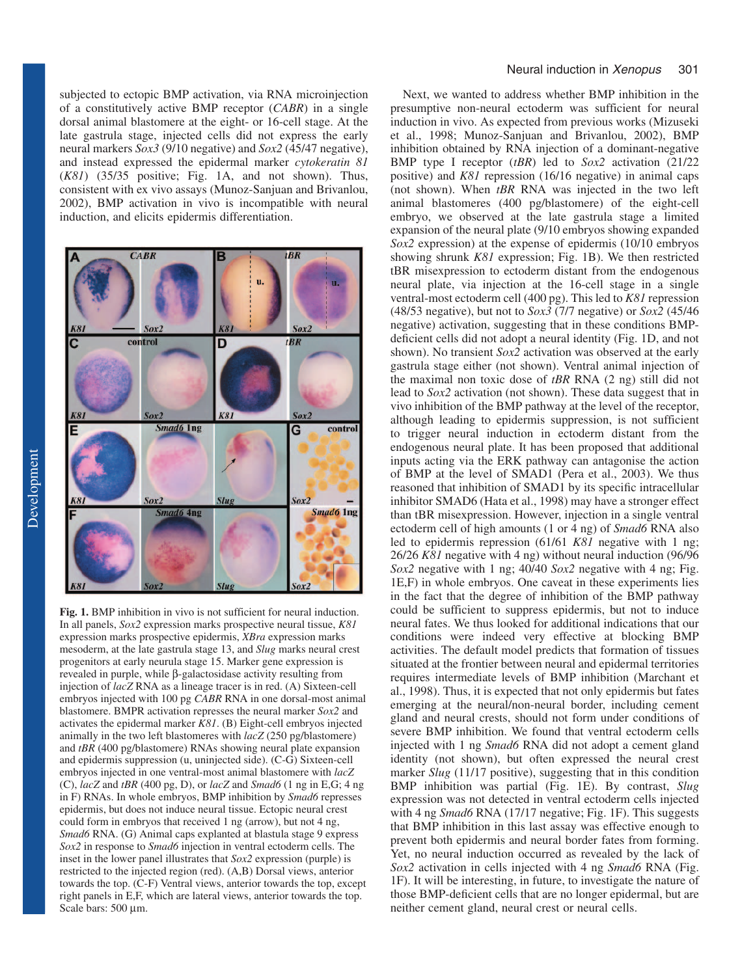subjected to ectopic BMP activation, via RNA microinjection of a constitutively active BMP receptor (*CABR*) in a single dorsal animal blastomere at the eight- or 16-cell stage. At the late gastrula stage, injected cells did not express the early neural markers *Sox3* (9/10 negative) and *Sox2* (45/47 negative), and instead expressed the epidermal marker *cytokeratin 81* (*K81*) (35/35 positive; Fig. 1A, and not shown). Thus, consistent with ex vivo assays (Munoz-Sanjuan and Brivanlou, 2002), BMP activation in vivo is incompatible with neural induction, and elicits epidermis differentiation.



**Fig. 1.** BMP inhibition in vivo is not sufficient for neural induction. In all panels, *Sox2* expression marks prospective neural tissue, *K81* expression marks prospective epidermis, *XBra* expression marks mesoderm, at the late gastrula stage 13, and *Slug* marks neural crest progenitors at early neurula stage 15. Marker gene expression is revealed in purple, while β-galactosidase activity resulting from injection of *lacZ* RNA as a lineage tracer is in red. (A) Sixteen-cell embryos injected with 100 pg *CABR* RNA in one dorsal-most animal blastomere. BMPR activation represses the neural marker *Sox2* and activates the epidermal marker *K81*. (B) Eight-cell embryos injected animally in the two left blastomeres with *lacZ* (250 pg/blastomere) and *tBR* (400 pg/blastomere) RNAs showing neural plate expansion and epidermis suppression (u, uninjected side). (C-G) Sixteen-cell embryos injected in one ventral-most animal blastomere with *lacZ* (C), *lacZ* and *tBR* (400 pg, D), or *lacZ* and *Smad6* (1 ng in E,G; 4 ng in F) RNAs. In whole embryos, BMP inhibition by *Smad6* represses epidermis, but does not induce neural tissue. Ectopic neural crest could form in embryos that received 1 ng (arrow), but not 4 ng, *Smad6* RNA. (G) Animal caps explanted at blastula stage 9 express *Sox2* in response to *Smad6* injection in ventral ectoderm cells. The inset in the lower panel illustrates that *Sox2* expression (purple) is restricted to the injected region (red). (A,B) Dorsal views, anterior towards the top. (C-F) Ventral views, anterior towards the top, except right panels in E,F, which are lateral views, anterior towards the top. Scale bars: 500 µm.

Next, we wanted to address whether BMP inhibition in the presumptive non-neural ectoderm was sufficient for neural induction in vivo. As expected from previous works (Mizuseki et al., 1998; Munoz-Sanjuan and Brivanlou, 2002), BMP inhibition obtained by RNA injection of a dominant-negative BMP type I receptor (*tBR*) led to *Sox2* activation (21/22 positive) and *K81* repression (16/16 negative) in animal caps (not shown). When *tBR* RNA was injected in the two left animal blastomeres (400 pg/blastomere) of the eight-cell embryo, we observed at the late gastrula stage a limited expansion of the neural plate (9/10 embryos showing expanded *Sox2* expression) at the expense of epidermis (10/10 embryos showing shrunk *K81* expression; Fig. 1B). We then restricted tBR misexpression to ectoderm distant from the endogenous neural plate, via injection at the 16-cell stage in a single ventral-most ectoderm cell (400 pg). This led to *K81* repression (48/53 negative), but not to *Sox3* (7/7 negative) or *Sox2* (45/46 negative) activation, suggesting that in these conditions BMPdeficient cells did not adopt a neural identity (Fig. 1D, and not shown). No transient *Sox2* activation was observed at the early gastrula stage either (not shown). Ventral animal injection of the maximal non toxic dose of *tBR* RNA (2 ng) still did not lead to *Sox2* activation (not shown). These data suggest that in vivo inhibition of the BMP pathway at the level of the receptor, although leading to epidermis suppression, is not sufficient to trigger neural induction in ectoderm distant from the endogenous neural plate. It has been proposed that additional inputs acting via the ERK pathway can antagonise the action of BMP at the level of SMAD1 (Pera et al., 2003). We thus reasoned that inhibition of SMAD1 by its specific intracellular inhibitor SMAD6 (Hata et al., 1998) may have a stronger effect than tBR misexpression. However, injection in a single ventral ectoderm cell of high amounts (1 or 4 ng) of *Smad6* RNA also led to epidermis repression (61/61 *K81* negative with 1 ng; 26/26 *K81* negative with 4 ng) without neural induction (96/96 *Sox2* negative with 1 ng; 40/40 *Sox2* negative with 4 ng; Fig. 1E,F) in whole embryos. One caveat in these experiments lies in the fact that the degree of inhibition of the BMP pathway could be sufficient to suppress epidermis, but not to induce neural fates. We thus looked for additional indications that our conditions were indeed very effective at blocking BMP activities. The default model predicts that formation of tissues situated at the frontier between neural and epidermal territories requires intermediate levels of BMP inhibition (Marchant et al., 1998). Thus, it is expected that not only epidermis but fates emerging at the neural/non-neural border, including cement gland and neural crests, should not form under conditions of severe BMP inhibition. We found that ventral ectoderm cells injected with 1 ng *Smad6* RNA did not adopt a cement gland identity (not shown), but often expressed the neural crest marker *Slug* (11/17 positive), suggesting that in this condition BMP inhibition was partial (Fig. 1E). By contrast, *Slug* expression was not detected in ventral ectoderm cells injected with 4 ng *Smad6* RNA (17/17 negative; Fig. 1F). This suggests that BMP inhibition in this last assay was effective enough to prevent both epidermis and neural border fates from forming. Yet, no neural induction occurred as revealed by the lack of *Sox2* activation in cells injected with 4 ng *Smad6* RNA (Fig. 1F). It will be interesting, in future, to investigate the nature of those BMP-deficient cells that are no longer epidermal, but are neither cement gland, neural crest or neural cells.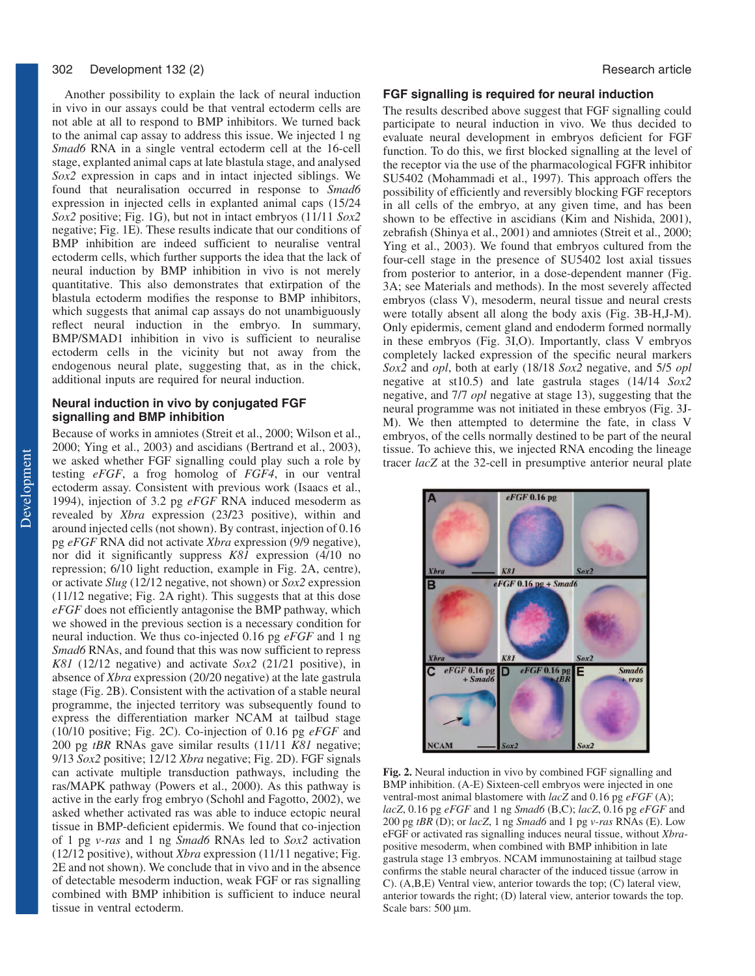Another possibility to explain the lack of neural induction in vivo in our assays could be that ventral ectoderm cells are not able at all to respond to BMP inhibitors. We turned back to the animal cap assay to address this issue. We injected 1 ng *Smad6* RNA in a single ventral ectoderm cell at the 16-cell stage, explanted animal caps at late blastula stage, and analysed *Sox2* expression in caps and in intact injected siblings. We found that neuralisation occurred in response to *Smad6* expression in injected cells in explanted animal caps (15/24 *Sox2* positive; Fig. 1G), but not in intact embryos (11/11 *Sox2* negative; Fig. 1E). These results indicate that our conditions of BMP inhibition are indeed sufficient to neuralise ventral ectoderm cells, which further supports the idea that the lack of neural induction by BMP inhibition in vivo is not merely quantitative. This also demonstrates that extirpation of the blastula ectoderm modifies the response to BMP inhibitors, which suggests that animal cap assays do not unambiguously reflect neural induction in the embryo. In summary, BMP/SMAD1 inhibition in vivo is sufficient to neuralise ectoderm cells in the vicinity but not away from the endogenous neural plate, suggesting that, as in the chick, additional inputs are required for neural induction.

# **Neural induction in vivo by conjugated FGF signalling and BMP inhibition**

Because of works in amniotes (Streit et al., 2000; Wilson et al., 2000; Ying et al., 2003) and ascidians (Bertrand et al., 2003), we asked whether FGF signalling could play such a role by testing *eFGF*, a frog homolog of *FGF4*, in our ventral ectoderm assay. Consistent with previous work (Isaacs et al., 1994), injection of 3.2 pg *eFGF* RNA induced mesoderm as revealed by *Xbra* expression (23**/**23 positive), within and around injected cells (not shown). By contrast, injection of 0.16 pg *eFGF* RNA did not activate *Xbra* expression (9/9 negative), nor did it significantly suppress *K81* expression (4/10 no repression; 6/10 light reduction, example in Fig. 2A, centre), or activate *Slug* (12/12 negative, not shown) or *Sox2* expression (11/12 negative; Fig. 2A right). This suggests that at this dose *eFGF* does not efficiently antagonise the BMP pathway, which we showed in the previous section is a necessary condition for neural induction. We thus co-injected 0.16 pg *eFGF* and 1 ng *Smad6* RNAs, and found that this was now sufficient to repress *K81* (12/12 negative) and activate *Sox2* (21/21 positive), in absence of *Xbra* expression (20/20 negative) at the late gastrula stage (Fig. 2B). Consistent with the activation of a stable neural programme, the injected territory was subsequently found to express the differentiation marker NCAM at tailbud stage (10/10 positive; Fig. 2C). Co-injection of 0.16 pg *eFGF* and 200 pg *tBR* RNAs gave similar results (11/11 *K81* negative; 9/13 *Sox2* positive; 12/12 *Xbra* negative; Fig. 2D). FGF signals can activate multiple transduction pathways, including the ras/MAPK pathway (Powers et al., 2000). As this pathway is active in the early frog embryo (Schohl and Fagotto, 2002), we asked whether activated ras was able to induce ectopic neural tissue in BMP-deficient epidermis. We found that co-injection of 1 pg *v-ras* and 1 ng *Smad6* RNAs led to *Sox2* activation (12/12 positive), without *Xbra* expression (11/11 negative; Fig. 2E and not shown). We conclude that in vivo and in the absence of detectable mesoderm induction, weak FGF or ras signalling combined with BMP inhibition is sufficient to induce neural tissue in ventral ectoderm.

# **FGF signalling is required for neural induction**

The results described above suggest that FGF signalling could participate to neural induction in vivo. We thus decided to evaluate neural development in embryos deficient for FGF function. To do this, we first blocked signalling at the level of the receptor via the use of the pharmacological FGFR inhibitor SU5402 (Mohammadi et al., 1997). This approach offers the possibility of efficiently and reversibly blocking FGF receptors in all cells of the embryo, at any given time, and has been shown to be effective in ascidians (Kim and Nishida, 2001), zebrafish (Shinya et al., 2001) and amniotes (Streit et al., 2000; Ying et al., 2003). We found that embryos cultured from the four-cell stage in the presence of SU5402 lost axial tissues from posterior to anterior, in a dose-dependent manner (Fig. 3A; see Materials and methods). In the most severely affected embryos (class V), mesoderm, neural tissue and neural crests were totally absent all along the body axis (Fig. 3B-H,J-M). Only epidermis, cement gland and endoderm formed normally in these embryos (Fig. 3I,O). Importantly, class V embryos completely lacked expression of the specific neural markers *Sox2* and *opl*, both at early (18/18 *Sox2* negative, and 5/5 *opl* negative at st10.5) and late gastrula stages (14/14 *Sox2* negative, and 7/7 *opl* negative at stage 13), suggesting that the neural programme was not initiated in these embryos (Fig. 3J-M). We then attempted to determine the fate, in class V embryos, of the cells normally destined to be part of the neural tissue. To achieve this, we injected RNA encoding the lineage tracer *lacZ* at the 32-cell in presumptive anterior neural plate



**Fig. 2.** Neural induction in vivo by combined FGF signalling and BMP inhibition. (A-E) Sixteen-cell embryos were injected in one ventral-most animal blastomere with *lacZ* and 0.16 pg *eFGF* (A); *lacZ*, 0.16 pg *eFGF* and 1 ng *Smad6* (B,C); *lacZ*, 0.16 pg *eFGF* and 200 pg *tBR* (D); or *lacZ*, 1 ng *Smad6* and 1 pg *v-ras* RNAs (E). Low eFGF or activated ras signalling induces neural tissue, without *Xbra*positive mesoderm, when combined with BMP inhibition in late gastrula stage 13 embryos. NCAM immunostaining at tailbud stage confirms the stable neural character of the induced tissue (arrow in C). (A,B,E) Ventral view, anterior towards the top; (C) lateral view, anterior towards the right; (D) lateral view, anterior towards the top. Scale bars: 500 µm.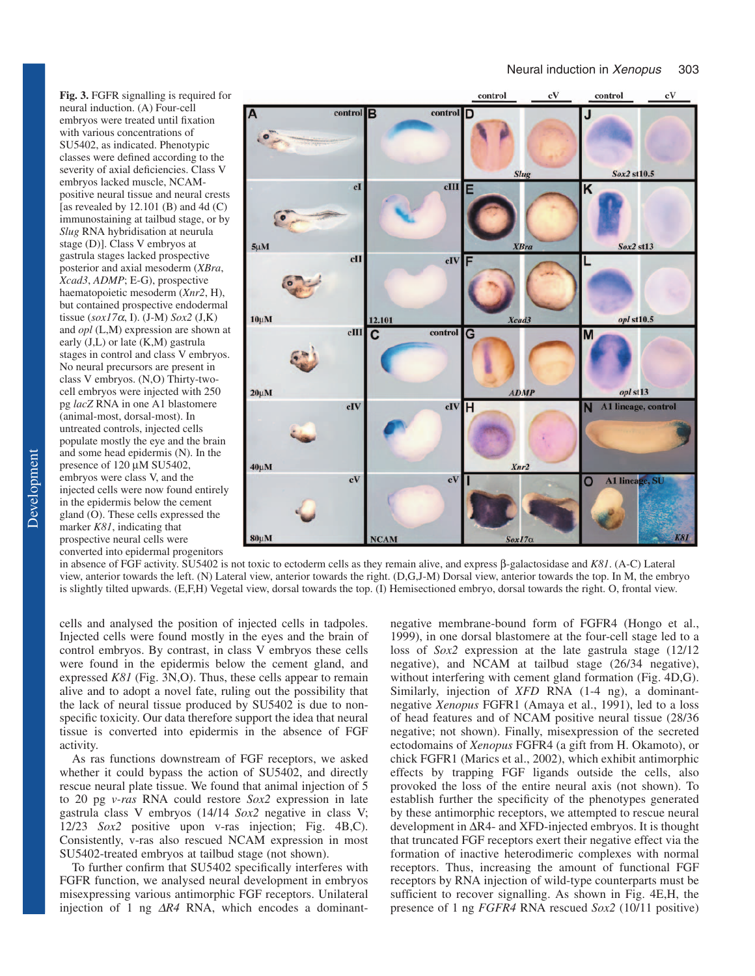**Fig. 3.** FGFR signalling is required for neural induction. (A) Four-cell embryos were treated until fixation with various concentrations of SU5402, as indicated. Phenotypic classes were defined according to the severity of axial deficiencies. Class V embryos lacked muscle, NCAMpositive neural tissue and neural crests [as revealed by  $12.101$  (B) and 4d (C) immunostaining at tailbud stage, or by *Slug* RNA hybridisation at neurula stage (D)]. Class V embryos at gastrula stages lacked prospective posterior and axial mesoderm (*XBra*, *Xcad3*, *ADMP*; E-G), prospective haematopoietic mesoderm (*Xnr2*, H), but contained prospective endodermal tissue (*sox17*α, I). (J-M) *Sox2* (J,K) and *opl* (L,M) expression are shown at early (J,L) or late (K,M) gastrula stages in control and class V embryos. No neural precursors are present in class V embryos. (N,O) Thirty-twocell embryos were injected with 250 pg *lacZ* RNA in one A1 blastomere (animal-most, dorsal-most). In untreated controls, injected cells populate mostly the eye and the brain and some head epidermis (N). In the presence of 120 µM SU5402, embryos were class V, and the injected cells were now found entirely in the epidermis below the cement gland (O). These cells expressed the marker *K81*, indicating that prospective neural cells were converted into epidermal progenitors



in absence of FGF activity. SU5402 is not toxic to ectoderm cells as they remain alive, and express β-galactosidase and *K81*. (A-C) Lateral view, anterior towards the left. (N) Lateral view, anterior towards the right. (D,G,J-M) Dorsal view, anterior towards the top. In M, the embryo is slightly tilted upwards. (E,F,H) Vegetal view, dorsal towards the top. (I) Hemisectioned embryo, dorsal towards the right. O, frontal view.

cells and analysed the position of injected cells in tadpoles. Injected cells were found mostly in the eyes and the brain of control embryos. By contrast, in class V embryos these cells were found in the epidermis below the cement gland, and expressed *K81* (Fig. 3N,O). Thus, these cells appear to remain alive and to adopt a novel fate, ruling out the possibility that the lack of neural tissue produced by SU5402 is due to nonspecific toxicity. Our data therefore support the idea that neural tissue is converted into epidermis in the absence of FGF activity.

As ras functions downstream of FGF receptors, we asked whether it could bypass the action of SU5402, and directly rescue neural plate tissue. We found that animal injection of 5 to 20 pg *v-ras* RNA could restore *Sox2* expression in late gastrula class V embryos (14/14 *Sox2* negative in class V; 12/23 *Sox2* positive upon v-ras injection; Fig. 4B,C). Consistently, v-ras also rescued NCAM expression in most SU5402-treated embryos at tailbud stage (not shown).

To further confirm that SU5402 specifically interferes with FGFR function, we analysed neural development in embryos misexpressing various antimorphic FGF receptors. Unilateral injection of 1 ng ∆*R4* RNA, which encodes a dominantnegative membrane-bound form of FGFR4 (Hongo et al., 1999), in one dorsal blastomere at the four-cell stage led to a loss of *Sox2* expression at the late gastrula stage (12/12 negative), and NCAM at tailbud stage (26/34 negative), without interfering with cement gland formation (Fig. 4D,G). Similarly, injection of *XFD* RNA (1-4 ng), a dominantnegative *Xenopus* FGFR1 (Amaya et al., 1991), led to a loss of head features and of NCAM positive neural tissue (28/36 negative; not shown). Finally, misexpression of the secreted ectodomains of *Xenopus* FGFR4 (a gift from H. Okamoto), or chick FGFR1 (Marics et al., 2002), which exhibit antimorphic effects by trapping FGF ligands outside the cells, also provoked the loss of the entire neural axis (not shown). To establish further the specificity of the phenotypes generated by these antimorphic receptors, we attempted to rescue neural development in ∆R4- and XFD-injected embryos. It is thought that truncated FGF receptors exert their negative effect via the formation of inactive heterodimeric complexes with normal receptors. Thus, increasing the amount of functional FGF receptors by RNA injection of wild-type counterparts must be sufficient to recover signalling. As shown in Fig. 4E,H, the presence of 1 ng *FGFR4* RNA rescued *Sox2* (10/11 positive)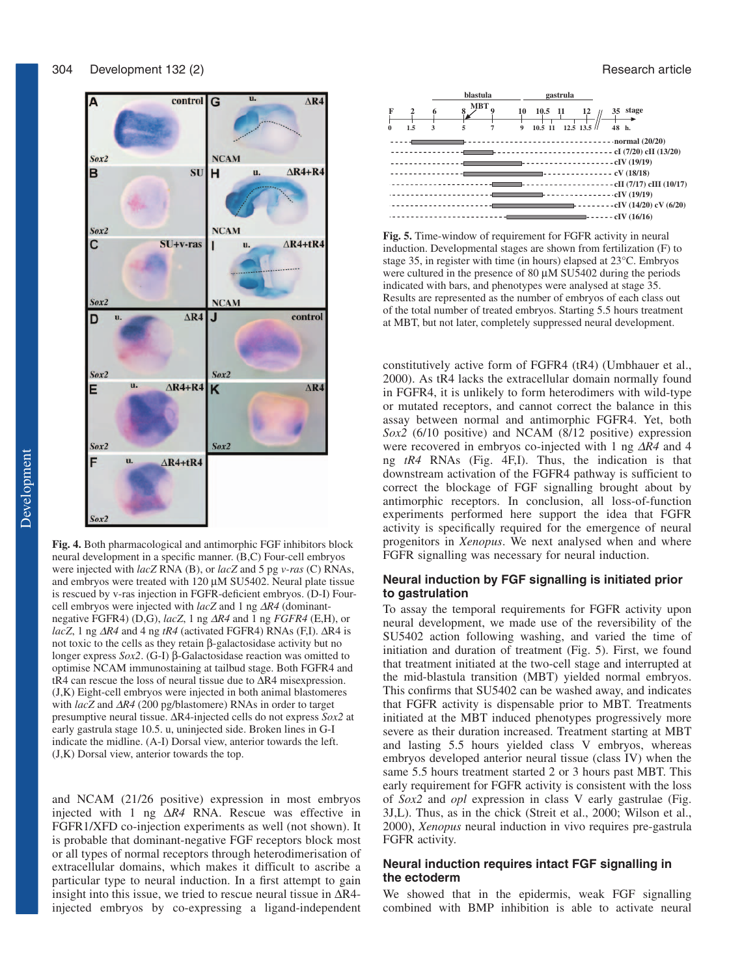

Development Development

**Fig. 4.** Both pharmacological and antimorphic FGF inhibitors block neural development in a specific manner. (B,C) Four-cell embryos were injected with *lacZ* RNA (B), or *lacZ* and 5 pg *v-ras* (C) RNAs, and embryos were treated with 120 µM SU5402. Neural plate tissue is rescued by v-ras injection in FGFR-deficient embryos. (D-I) Fourcell embryos were injected with *lacZ* and 1 ng ∆*R4* (dominantnegative FGFR4) (D,G), *lacZ*, 1 ng ∆*R4* and 1 ng *FGFR4* (E,H), or *lacZ*, 1 ng ∆*R4* and 4 ng *tR4* (activated FGFR4) RNAs (F,I). ∆R4 is not toxic to the cells as they retain β-galactosidase activity but no longer express *Sox2*. (G-I) β-Galactosidase reaction was omitted to optimise NCAM immunostaining at tailbud stage. Both FGFR4 and tR4 can rescue the loss of neural tissue due to ∆R4 misexpression. (J,K) Eight-cell embryos were injected in both animal blastomeres with *lacZ* and ∆*R4* (200 pg/blastomere) RNAs in order to target presumptive neural tissue. ∆R4-injected cells do not express *Sox2* at early gastrula stage 10.5. u, uninjected side. Broken lines in G-I indicate the midline. (A-I) Dorsal view, anterior towards the left. (J,K) Dorsal view, anterior towards the top.

and NCAM (21/26 positive) expression in most embryos injected with 1 ng ∆*R4* RNA. Rescue was effective in FGFR1/XFD co-injection experiments as well (not shown). It is probable that dominant-negative FGF receptors block most or all types of normal receptors through heterodimerisation of extracellular domains, which makes it difficult to ascribe a particular type to neural induction. In a first attempt to gain insight into this issue, we tried to rescue neural tissue in ∆R4 injected embryos by co-expressing a ligand-independent



**Fig. 5.** Time-window of requirement for FGFR activity in neural induction. Developmental stages are shown from fertilization (F) to stage 35, in register with time (in hours) elapsed at 23°C. Embryos were cultured in the presence of 80  $\mu$ M SU5402 during the periods indicated with bars, and phenotypes were analysed at stage 35. Results are represented as the number of embryos of each class out of the total number of treated embryos. Starting 5.5 hours treatment at MBT, but not later, completely suppressed neural development.

constitutively active form of FGFR4 (tR4) (Umbhauer et al., 2000). As tR4 lacks the extracellular domain normally found in FGFR4, it is unlikely to form heterodimers with wild-type or mutated receptors, and cannot correct the balance in this assay between normal and antimorphic FGFR4. Yet, both *Sox2* (6/10 positive) and NCAM (8/12 positive) expression were recovered in embryos co-injected with 1 ng ∆*R4* and 4 ng *tR4* RNAs (Fig. 4F,I). Thus, the indication is that downstream activation of the FGFR4 pathway is sufficient to correct the blockage of FGF signalling brought about by antimorphic receptors. In conclusion, all loss-of-function experiments performed here support the idea that FGFR activity is specifically required for the emergence of neural progenitors in *Xenopus*. We next analysed when and where FGFR signalling was necessary for neural induction.

# **Neural induction by FGF signalling is initiated prior to gastrulation**

To assay the temporal requirements for FGFR activity upon neural development, we made use of the reversibility of the SU5402 action following washing, and varied the time of initiation and duration of treatment (Fig. 5). First, we found that treatment initiated at the two-cell stage and interrupted at the mid-blastula transition (MBT) yielded normal embryos. This confirms that SU5402 can be washed away, and indicates that FGFR activity is dispensable prior to MBT. Treatments initiated at the MBT induced phenotypes progressively more severe as their duration increased. Treatment starting at MBT and lasting 5.5 hours yielded class V embryos, whereas embryos developed anterior neural tissue (class IV) when the same 5.5 hours treatment started 2 or 3 hours past MBT. This early requirement for FGFR activity is consistent with the loss of *Sox2* and *opl* expression in class V early gastrulae (Fig. 3J,L). Thus, as in the chick (Streit et al., 2000; Wilson et al., 2000), *Xenopus* neural induction in vivo requires pre-gastrula FGFR activity.

# **Neural induction requires intact FGF signalling in the ectoderm**

We showed that in the epidermis, weak FGF signalling combined with BMP inhibition is able to activate neural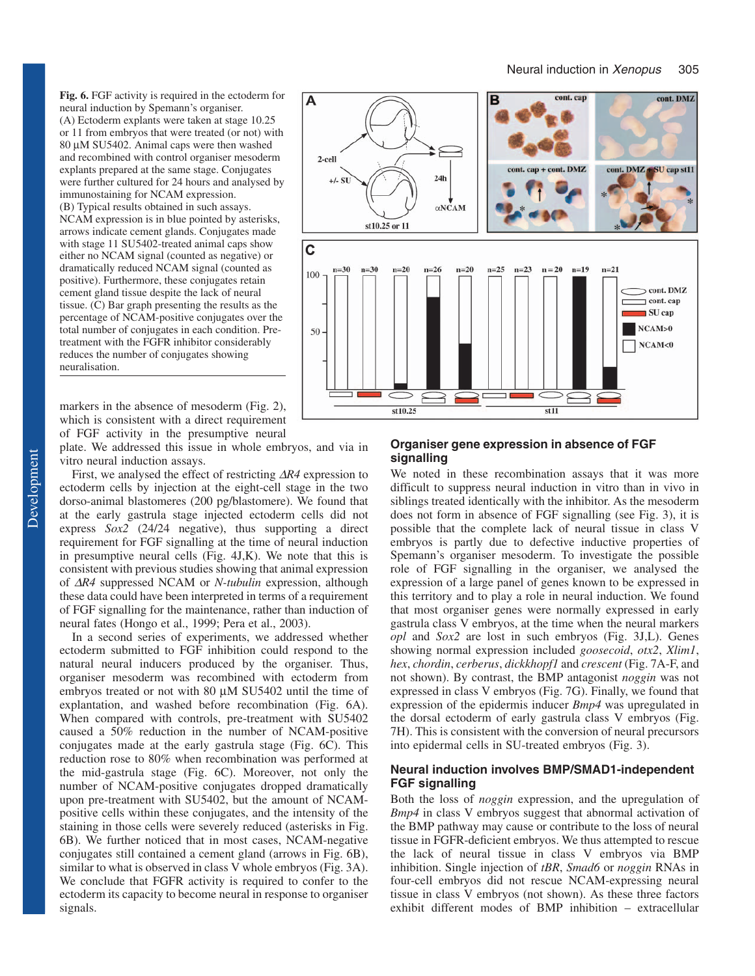**Fig. 6.** FGF activity is required in the ectoderm for neural induction by Spemann's organiser. (A) Ectoderm explants were taken at stage 10.25 or 11 from embryos that were treated (or not) with 80 µM SU5402. Animal caps were then washed and recombined with control organiser mesoderm explants prepared at the same stage. Conjugates were further cultured for 24 hours and analysed by immunostaining for NCAM expression. (B) Typical results obtained in such assays. NCAM expression is in blue pointed by asterisks, arrows indicate cement glands. Conjugates made with stage 11 SU5402-treated animal caps show either no NCAM signal (counted as negative) or dramatically reduced NCAM signal (counted as positive). Furthermore, these conjugates retain cement gland tissue despite the lack of neural tissue. (C) Bar graph presenting the results as the percentage of NCAM-positive conjugates over the total number of conjugates in each condition. Pretreatment with the FGFR inhibitor considerably reduces the number of conjugates showing neuralisation.

markers in the absence of mesoderm (Fig. 2), which is consistent with a direct requirement of FGF activity in the presumptive neural

plate. We addressed this issue in whole embryos, and via in vitro neural induction assays.

First, we analysed the effect of restricting ∆*R4* expression to ectoderm cells by injection at the eight-cell stage in the two dorso-animal blastomeres (200 pg/blastomere). We found that at the early gastrula stage injected ectoderm cells did not express *Sox2* (24/24 negative), thus supporting a direct requirement for FGF signalling at the time of neural induction in presumptive neural cells (Fig. 4J,K). We note that this is consistent with previous studies showing that animal expression of <sup>∆</sup>*R4* suppressed NCAM or *N-tubulin* expression, although these data could have been interpreted in terms of a requirement of FGF signalling for the maintenance, rather than induction of neural fates (Hongo et al., 1999; Pera et al., 2003).

In a second series of experiments, we addressed whether ectoderm submitted to FGF inhibition could respond to the natural neural inducers produced by the organiser. Thus, organiser mesoderm was recombined with ectoderm from embryos treated or not with 80  $\mu$ M SU5402 until the time of explantation, and washed before recombination (Fig. 6A). When compared with controls, pre-treatment with SU5402 caused a 50% reduction in the number of NCAM-positive conjugates made at the early gastrula stage (Fig. 6C). This reduction rose to 80% when recombination was performed at the mid-gastrula stage (Fig. 6C). Moreover, not only the number of NCAM-positive conjugates dropped dramatically upon pre-treatment with SU5402, but the amount of NCAMpositive cells within these conjugates, and the intensity of the staining in those cells were severely reduced (asterisks in Fig. 6B). We further noticed that in most cases, NCAM-negative conjugates still contained a cement gland (arrows in Fig. 6B), similar to what is observed in class V whole embryos (Fig. 3A). We conclude that FGFR activity is required to confer to the ectoderm its capacity to become neural in response to organiser signals.



### **Organiser gene expression in absence of FGF signalling**

We noted in these recombination assays that it was more difficult to suppress neural induction in vitro than in vivo in siblings treated identically with the inhibitor. As the mesoderm does not form in absence of FGF signalling (see Fig. 3), it is possible that the complete lack of neural tissue in class V embryos is partly due to defective inductive properties of Spemann's organiser mesoderm. To investigate the possible role of FGF signalling in the organiser, we analysed the expression of a large panel of genes known to be expressed in this territory and to play a role in neural induction. We found that most organiser genes were normally expressed in early gastrula class V embryos, at the time when the neural markers *opl* and *Sox2* are lost in such embryos (Fig. 3J,L). Genes showing normal expression included *goosecoid*, *otx2*, *Xlim1*, *hex*, *chordin*, *cerberus*, *dickkhopf1* and *crescent* (Fig. 7A-F, and not shown). By contrast, the BMP antagonist *noggin* was not expressed in class V embryos (Fig. 7G). Finally, we found that expression of the epidermis inducer *Bmp4* was upregulated in the dorsal ectoderm of early gastrula class V embryos (Fig. 7H). This is consistent with the conversion of neural precursors into epidermal cells in SU-treated embryos (Fig. 3).

# **Neural induction involves BMP/SMAD1-independent FGF signalling**

Both the loss of *noggin* expression, and the upregulation of *Bmp4* in class V embryos suggest that abnormal activation of the BMP pathway may cause or contribute to the loss of neural tissue in FGFR-deficient embryos. We thus attempted to rescue the lack of neural tissue in class V embryos via BMP inhibition. Single injection of *tBR*, *Smad6* or *noggin* RNAs in four-cell embryos did not rescue NCAM-expressing neural tissue in class V embryos (not shown). As these three factors exhibit different modes of BMP inhibition – extracellular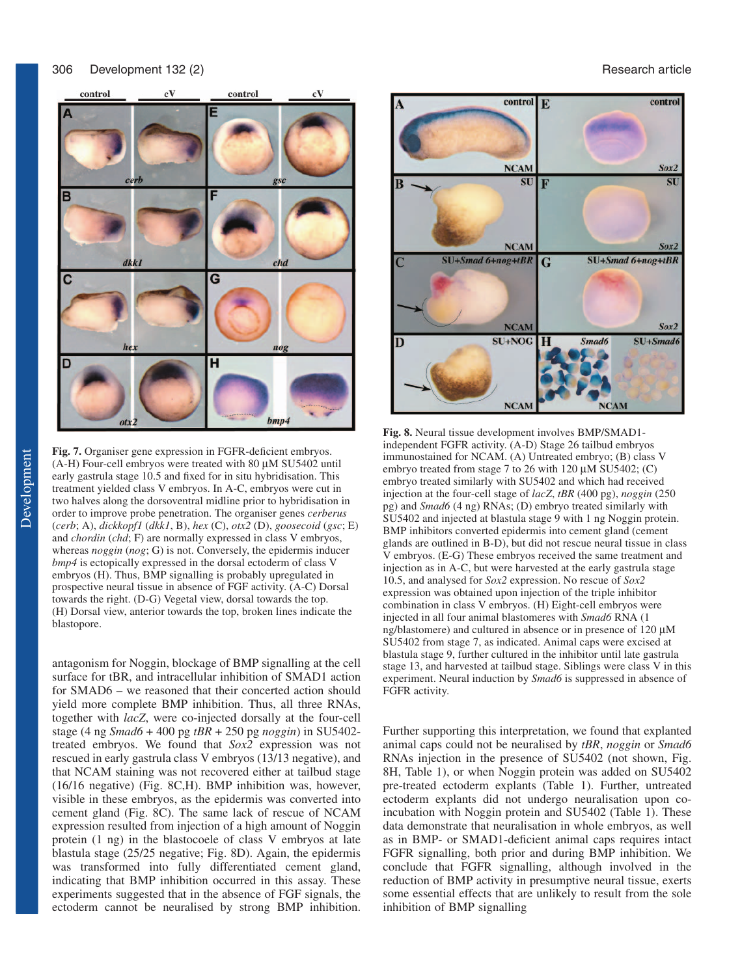

**Fig. 7.** Organiser gene expression in FGFR-deficient embryos.  $(A-H)$  Four-cell embryos were treated with 80  $\mu$ M SU5402 until early gastrula stage 10.5 and fixed for in situ hybridisation. This treatment yielded class V embryos. In A-C, embryos were cut in two halves along the dorsoventral midline prior to hybridisation in order to improve probe penetration. The organiser genes *cerberus* (*cerb*; A), *dickkopf1* (*dkk1*, B), *hex* (C), *otx2* (D), *goosecoid* (*gsc*; E) and *chordin* (*chd*; F) are normally expressed in class V embryos, whereas *noggin* (*nog*; G) is not. Conversely, the epidermis inducer *bmp4* is ectopically expressed in the dorsal ectoderm of class V embryos (H). Thus, BMP signalling is probably upregulated in prospective neural tissue in absence of FGF activity. (A-C) Dorsal towards the right. (D-G) Vegetal view, dorsal towards the top. (H) Dorsal view, anterior towards the top, broken lines indicate the blastopore.

antagonism for Noggin, blockage of BMP signalling at the cell surface for tBR, and intracellular inhibition of SMAD1 action for SMAD6 – we reasoned that their concerted action should yield more complete BMP inhibition. Thus, all three RNAs, together with *lacZ*, were co-injected dorsally at the four-cell stage (4 ng *Smad6* + 400 pg *tBR* + 250 pg *noggin*) in SU5402 treated embryos. We found that *Sox2* expression was not rescued in early gastrula class V embryos (13/13 negative), and that NCAM staining was not recovered either at tailbud stage (16/16 negative) (Fig. 8C,H). BMP inhibition was, however, visible in these embryos, as the epidermis was converted into cement gland (Fig. 8C). The same lack of rescue of NCAM expression resulted from injection of a high amount of Noggin protein (1 ng) in the blastocoele of class V embryos at late blastula stage (25/25 negative; Fig. 8D). Again, the epidermis was transformed into fully differentiated cement gland, indicating that BMP inhibition occurred in this assay. These experiments suggested that in the absence of FGF signals, the ectoderm cannot be neuralised by strong BMP inhibition.



**Fig. 8.** Neural tissue development involves BMP/SMAD1 independent FGFR activity. (A-D) Stage 26 tailbud embryos immunostained for NCAM. (A) Untreated embryo; (B) class V embryo treated from stage 7 to 26 with 120 µM SU5402; (C) embryo treated similarly with SU5402 and which had received injection at the four-cell stage of *lacZ*, *tBR* (400 pg), *noggin* (250 pg) and *Smad6* (4 ng) RNAs; (D) embryo treated similarly with SU5402 and injected at blastula stage 9 with 1 ng Noggin protein. BMP inhibitors converted epidermis into cement gland (cement glands are outlined in B-D), but did not rescue neural tissue in class V embryos. (E-G) These embryos received the same treatment and injection as in A-C, but were harvested at the early gastrula stage 10.5, and analysed for *Sox2* expression. No rescue of *Sox2* expression was obtained upon injection of the triple inhibitor combination in class V embryos. (H) Eight-cell embryos were injected in all four animal blastomeres with *Smad6* RNA (1 ng/blastomere) and cultured in absence or in presence of 120 µM SU5402 from stage 7, as indicated. Animal caps were excised at blastula stage 9, further cultured in the inhibitor until late gastrula stage 13, and harvested at tailbud stage. Siblings were class V in this experiment. Neural induction by *Smad6* is suppressed in absence of FGFR activity.

Further supporting this interpretation, we found that explanted animal caps could not be neuralised by *tBR*, *noggin* or *Smad6* RNAs injection in the presence of SU5402 (not shown, Fig. 8H, Table 1), or when Noggin protein was added on SU5402 pre-treated ectoderm explants (Table 1). Further, untreated ectoderm explants did not undergo neuralisation upon coincubation with Noggin protein and SU5402 (Table 1). These data demonstrate that neuralisation in whole embryos, as well as in BMP- or SMAD1-deficient animal caps requires intact FGFR signalling, both prior and during BMP inhibition. We conclude that FGFR signalling, although involved in the reduction of BMP activity in presumptive neural tissue, exerts some essential effects that are unlikely to result from the sole inhibition of BMP signalling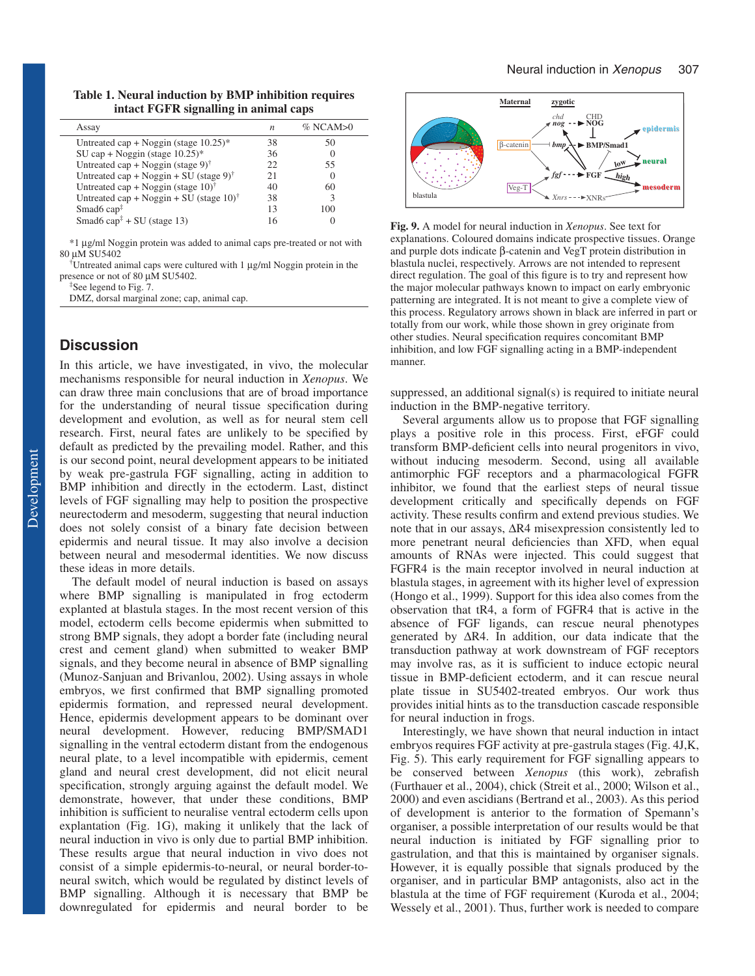**Table 1. Neural induction by BMP inhibition requires intact FGFR signalling in animal caps**

| Assay                                                      | n   | % NCAM>0 |
|------------------------------------------------------------|-----|----------|
| Untreated cap + Noggin (stage $10.25$ )*                   | 38  | 50       |
| SU cap + Noggin (stage $10.25$ )*                          | 36  |          |
| Untreated cap + Noggin (stage 9) <sup>†</sup>              | 22. | 55       |
| Untreated cap + Noggin + SU (stage 9) <sup>†</sup>         | 21  |          |
| Untreated cap + Noggin (stage 10) <sup>†</sup>             | 40  | 60       |
| Untreated cap + Noggin + SU (stage $10$ ) <sup>†</sup>     | 38  |          |
| Smad6 $cap^{\ddagger}$                                     | 13  | 100      |
| Smad6 cap <sup><math>\ddagger</math></sup> + SU (stage 13) | 16  |          |
|                                                            |     |          |

\*1 µg/ml Noggin protein was added to animal caps pre-treated or not with 80 µM SU5402

† Untreated animal caps were cultured with 1 µg/ml Noggin protein in the presence or not of 80 µM SU5402.

‡ See legend to Fig. 7.

DMZ, dorsal marginal zone; cap, animal cap.

# **Discussion**

In this article, we have investigated, in vivo, the molecular mechanisms responsible for neural induction in *Xenopus*. We can draw three main conclusions that are of broad importance for the understanding of neural tissue specification during development and evolution, as well as for neural stem cell research. First, neural fates are unlikely to be specified by default as predicted by the prevailing model. Rather, and this is our second point, neural development appears to be initiated by weak pre-gastrula FGF signalling, acting in addition to BMP inhibition and directly in the ectoderm. Last, distinct levels of FGF signalling may help to position the prospective neurectoderm and mesoderm, suggesting that neural induction does not solely consist of a binary fate decision between epidermis and neural tissue. It may also involve a decision between neural and mesodermal identities. We now discuss these ideas in more details.

The default model of neural induction is based on assays where BMP signalling is manipulated in frog ectoderm explanted at blastula stages. In the most recent version of this model, ectoderm cells become epidermis when submitted to strong BMP signals, they adopt a border fate (including neural crest and cement gland) when submitted to weaker BMP signals, and they become neural in absence of BMP signalling (Munoz-Sanjuan and Brivanlou, 2002). Using assays in whole embryos, we first confirmed that BMP signalling promoted epidermis formation, and repressed neural development. Hence, epidermis development appears to be dominant over neural development. However, reducing BMP/SMAD1 signalling in the ventral ectoderm distant from the endogenous neural plate, to a level incompatible with epidermis, cement gland and neural crest development, did not elicit neural specification, strongly arguing against the default model. We demonstrate, however, that under these conditions, BMP inhibition is sufficient to neuralise ventral ectoderm cells upon explantation (Fig. 1G), making it unlikely that the lack of neural induction in vivo is only due to partial BMP inhibition. These results argue that neural induction in vivo does not consist of a simple epidermis-to-neural, or neural border-toneural switch, which would be regulated by distinct levels of BMP signalling. Although it is necessary that BMP be downregulated for epidermis and neural border to be



**Fig. 9.** A model for neural induction in *Xenopus*. See text for explanations. Coloured domains indicate prospective tissues. Orange and purple dots indicate β-catenin and VegT protein distribution in blastula nuclei, respectively. Arrows are not intended to represent direct regulation. The goal of this figure is to try and represent how the major molecular pathways known to impact on early embryonic patterning are integrated. It is not meant to give a complete view of this process. Regulatory arrows shown in black are inferred in part or totally from our work, while those shown in grey originate from other studies. Neural specification requires concomitant BMP inhibition, and low FGF signalling acting in a BMP-independent manner.

suppressed, an additional signal(s) is required to initiate neural induction in the BMP-negative territory.

Several arguments allow us to propose that FGF signalling plays a positive role in this process. First, eFGF could transform BMP-deficient cells into neural progenitors in vivo, without inducing mesoderm. Second, using all available antimorphic FGF receptors and a pharmacological FGFR inhibitor, we found that the earliest steps of neural tissue development critically and specifically depends on FGF activity. These results confirm and extend previous studies. We note that in our assays, ∆R4 misexpression consistently led to more penetrant neural deficiencies than XFD, when equal amounts of RNAs were injected. This could suggest that FGFR4 is the main receptor involved in neural induction at blastula stages, in agreement with its higher level of expression (Hongo et al., 1999). Support for this idea also comes from the observation that tR4, a form of FGFR4 that is active in the absence of FGF ligands, can rescue neural phenotypes generated by ∆R4. In addition, our data indicate that the transduction pathway at work downstream of FGF receptors may involve ras, as it is sufficient to induce ectopic neural tissue in BMP-deficient ectoderm, and it can rescue neural plate tissue in SU5402-treated embryos. Our work thus provides initial hints as to the transduction cascade responsible for neural induction in frogs.

Interestingly, we have shown that neural induction in intact embryos requires FGF activity at pre-gastrula stages (Fig. 4J,K, Fig. 5). This early requirement for FGF signalling appears to be conserved between *Xenopus* (this work), zebrafish (Furthauer et al., 2004), chick (Streit et al., 2000; Wilson et al., 2000) and even ascidians (Bertrand et al., 2003). As this period of development is anterior to the formation of Spemann's organiser, a possible interpretation of our results would be that neural induction is initiated by FGF signalling prior to gastrulation, and that this is maintained by organiser signals. However, it is equally possible that signals produced by the organiser, and in particular BMP antagonists, also act in the blastula at the time of FGF requirement (Kuroda et al., 2004; Wessely et al., 2001). Thus, further work is needed to compare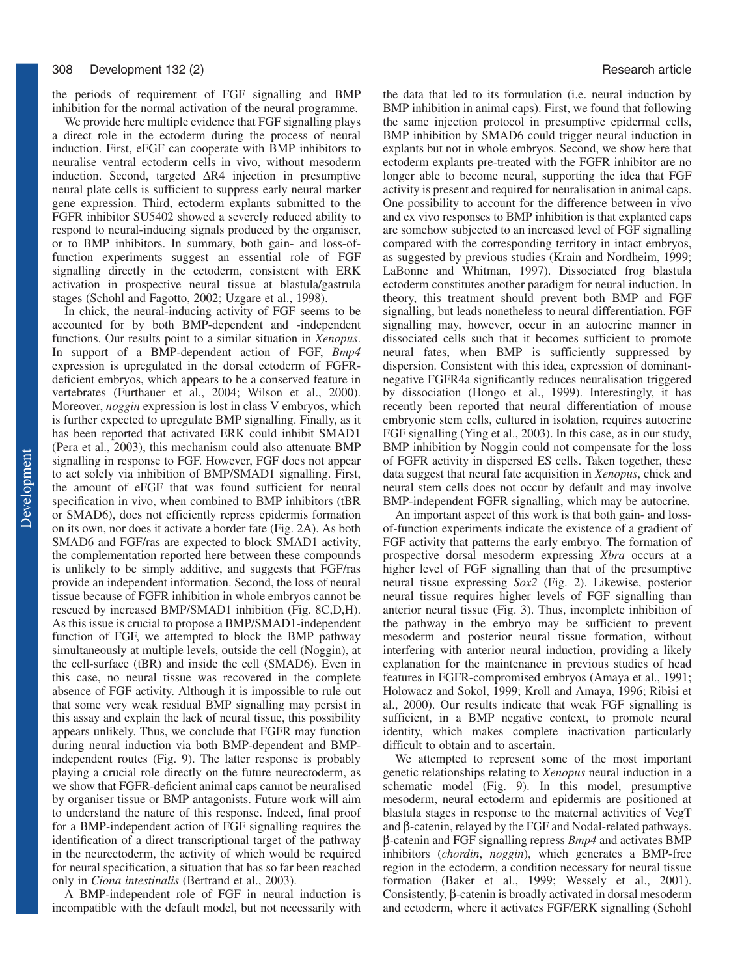the periods of requirement of FGF signalling and BMP inhibition for the normal activation of the neural programme.

We provide here multiple evidence that FGF signalling plays a direct role in the ectoderm during the process of neural induction. First, eFGF can cooperate with BMP inhibitors to neuralise ventral ectoderm cells in vivo, without mesoderm induction. Second, targeted ∆R4 injection in presumptive neural plate cells is sufficient to suppress early neural marker gene expression. Third, ectoderm explants submitted to the FGFR inhibitor SU5402 showed a severely reduced ability to respond to neural-inducing signals produced by the organiser, or to BMP inhibitors. In summary, both gain- and loss-offunction experiments suggest an essential role of FGF signalling directly in the ectoderm, consistent with ERK activation in prospective neural tissue at blastula/gastrula stages (Schohl and Fagotto, 2002; Uzgare et al., 1998).

In chick, the neural-inducing activity of FGF seems to be accounted for by both BMP-dependent and -independent functions. Our results point to a similar situation in *Xenopus*. In support of a BMP-dependent action of FGF, *Bmp4* expression is upregulated in the dorsal ectoderm of FGFRdeficient embryos, which appears to be a conserved feature in vertebrates (Furthauer et al., 2004; Wilson et al., 2000). Moreover, *noggin* expression is lost in class V embryos, which is further expected to upregulate BMP signalling. Finally, as it has been reported that activated ERK could inhibit SMAD1 (Pera et al., 2003), this mechanism could also attenuate BMP signalling in response to FGF. However, FGF does not appear to act solely via inhibition of BMP/SMAD1 signalling. First, the amount of eFGF that was found sufficient for neural specification in vivo, when combined to BMP inhibitors (tBR or SMAD6), does not efficiently repress epidermis formation on its own, nor does it activate a border fate (Fig. 2A). As both SMAD6 and FGF/ras are expected to block SMAD1 activity, the complementation reported here between these compounds is unlikely to be simply additive, and suggests that FGF/ras provide an independent information. Second, the loss of neural tissue because of FGFR inhibition in whole embryos cannot be rescued by increased BMP/SMAD1 inhibition (Fig. 8C,D,H). As this issue is crucial to propose a BMP/SMAD1-independent function of FGF, we attempted to block the BMP pathway simultaneously at multiple levels, outside the cell (Noggin), at the cell-surface (tBR) and inside the cell (SMAD6). Even in this case, no neural tissue was recovered in the complete absence of FGF activity. Although it is impossible to rule out that some very weak residual BMP signalling may persist in this assay and explain the lack of neural tissue, this possibility appears unlikely. Thus, we conclude that FGFR may function during neural induction via both BMP-dependent and BMPindependent routes (Fig. 9). The latter response is probably playing a crucial role directly on the future neurectoderm, as we show that FGFR-deficient animal caps cannot be neuralised by organiser tissue or BMP antagonists. Future work will aim to understand the nature of this response. Indeed, final proof for a BMP-independent action of FGF signalling requires the identification of a direct transcriptional target of the pathway in the neurectoderm, the activity of which would be required for neural specification, a situation that has so far been reached only in *Ciona intestinalis* (Bertrand et al., 2003).

A BMP-independent role of FGF in neural induction is incompatible with the default model, but not necessarily with the data that led to its formulation (i.e. neural induction by BMP inhibition in animal caps). First, we found that following the same injection protocol in presumptive epidermal cells, BMP inhibition by SMAD6 could trigger neural induction in explants but not in whole embryos. Second, we show here that ectoderm explants pre-treated with the FGFR inhibitor are no longer able to become neural, supporting the idea that FGF activity is present and required for neuralisation in animal caps. One possibility to account for the difference between in vivo and ex vivo responses to BMP inhibition is that explanted caps are somehow subjected to an increased level of FGF signalling compared with the corresponding territory in intact embryos, as suggested by previous studies (Krain and Nordheim, 1999; LaBonne and Whitman, 1997). Dissociated frog blastula ectoderm constitutes another paradigm for neural induction. In theory, this treatment should prevent both BMP and FGF signalling, but leads nonetheless to neural differentiation. FGF signalling may, however, occur in an autocrine manner in dissociated cells such that it becomes sufficient to promote neural fates, when BMP is sufficiently suppressed by dispersion. Consistent with this idea, expression of dominantnegative FGFR4a significantly reduces neuralisation triggered by dissociation (Hongo et al., 1999). Interestingly, it has recently been reported that neural differentiation of mouse embryonic stem cells, cultured in isolation, requires autocrine FGF signalling (Ying et al., 2003). In this case, as in our study, BMP inhibition by Noggin could not compensate for the loss of FGFR activity in dispersed ES cells. Taken together, these data suggest that neural fate acquisition in *Xenopus*, chick and neural stem cells does not occur by default and may involve BMP-independent FGFR signalling, which may be autocrine.

An important aspect of this work is that both gain- and lossof-function experiments indicate the existence of a gradient of FGF activity that patterns the early embryo. The formation of prospective dorsal mesoderm expressing *Xbra* occurs at a higher level of FGF signalling than that of the presumptive neural tissue expressing *Sox2* (Fig. 2). Likewise, posterior neural tissue requires higher levels of FGF signalling than anterior neural tissue (Fig. 3). Thus, incomplete inhibition of the pathway in the embryo may be sufficient to prevent mesoderm and posterior neural tissue formation, without interfering with anterior neural induction, providing a likely explanation for the maintenance in previous studies of head features in FGFR-compromised embryos (Amaya et al., 1991; Holowacz and Sokol, 1999; Kroll and Amaya, 1996; Ribisi et al., 2000). Our results indicate that weak FGF signalling is sufficient, in a BMP negative context, to promote neural identity, which makes complete inactivation particularly difficult to obtain and to ascertain.

We attempted to represent some of the most important genetic relationships relating to *Xenopus* neural induction in a schematic model (Fig. 9). In this model, presumptive mesoderm, neural ectoderm and epidermis are positioned at blastula stages in response to the maternal activities of VegT and β-catenin, relayed by the FGF and Nodal-related pathways. β-catenin and FGF signalling repress *Bmp4* and activates BMP inhibitors (*chordin*, *noggin*), which generates a BMP-free region in the ectoderm, a condition necessary for neural tissue formation (Baker et al., 1999; Wessely et al., 2001). Consistently, β-catenin is broadly activated in dorsal mesoderm and ectoderm, where it activates FGF/ERK signalling (Schohl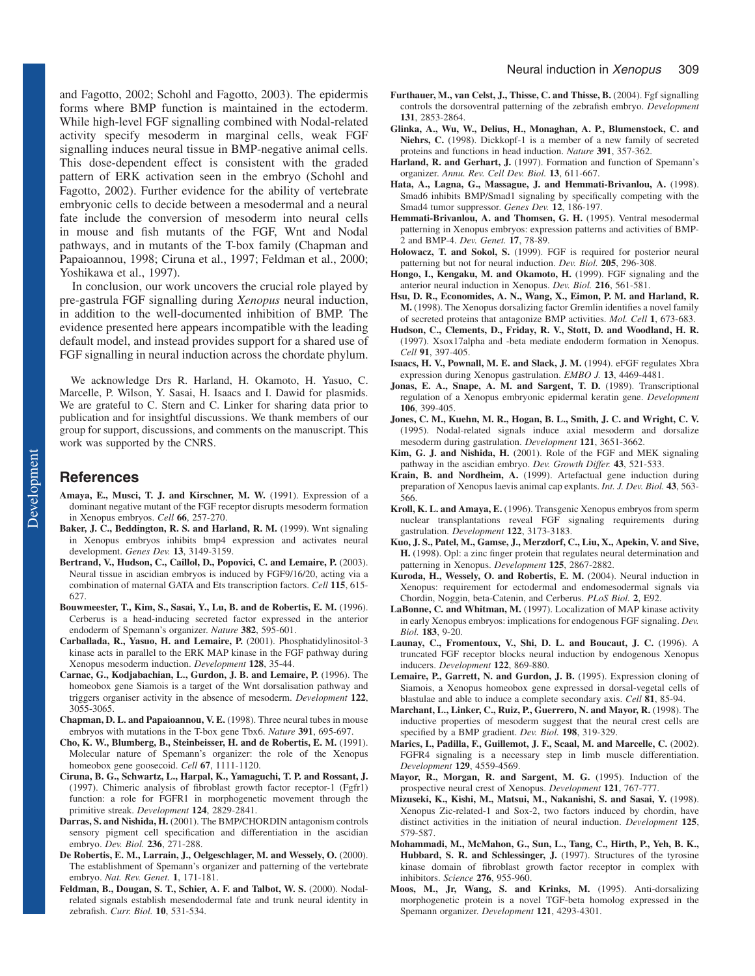and Fagotto, 2002; Schohl and Fagotto, 2003). The epidermis forms where BMP function is maintained in the ectoderm. While high-level FGF signalling combined with Nodal-related activity specify mesoderm in marginal cells, weak FGF signalling induces neural tissue in BMP-negative animal cells. This dose-dependent effect is consistent with the graded pattern of ERK activation seen in the embryo (Schohl and Fagotto, 2002). Further evidence for the ability of vertebrate embryonic cells to decide between a mesodermal and a neural fate include the conversion of mesoderm into neural cells in mouse and fish mutants of the FGF, Wnt and Nodal pathways, and in mutants of the T-box family (Chapman and Papaioannou, 1998; Ciruna et al., 1997; Feldman et al., 2000; Yoshikawa et al., 1997).

In conclusion, our work uncovers the crucial role played by pre-gastrula FGF signalling during *Xenopus* neural induction, in addition to the well-documented inhibition of BMP. The evidence presented here appears incompatible with the leading default model, and instead provides support for a shared use of FGF signalling in neural induction across the chordate phylum.

We acknowledge Drs R. Harland, H. Okamoto, H. Yasuo, C. Marcelle, P. Wilson, Y. Sasai, H. Isaacs and I. Dawid for plasmids. We are grateful to C. Stern and C. Linker for sharing data prior to publication and for insightful discussions. We thank members of our group for support, discussions, and comments on the manuscript. This work was supported by the CNRS.

# **References**

- Amaya, E., Musci, T. J. and Kirschner, M. W. (1991). Expression of a dominant negative mutant of the FGF receptor disrupts mesoderm formation in Xenopus embryos. *Cell* **66**, 257-270.
- Baker, J. C., Beddington, R. S. and Harland, R. M. (1999). Wnt signaling in Xenopus embryos inhibits bmp4 expression and activates neural development. *Genes Dev.* **13**, 3149-3159.
- Bertrand, V., Hudson, C., Caillol, D., Popovici, C. and Lemaire, P. (2003). Neural tissue in ascidian embryos is induced by FGF9/16/20, acting via a combination of maternal GATA and Ets transcription factors. *Cell* **115**, 615- 627.
- **Bouwmeester, T., Kim, S., Sasai, Y., Lu, B. and de Robertis, E. M.** (1996). Cerberus is a head-inducing secreted factor expressed in the anterior endoderm of Spemann's organizer. *Nature* **382**, 595-601.
- **Carballada, R., Yasuo, H. and Lemaire, P.** (2001). Phosphatidylinositol-3 kinase acts in parallel to the ERK MAP kinase in the FGF pathway during Xenopus mesoderm induction. *Development* **128**, 35-44.
- **Carnac, G., Kodjabachian, L., Gurdon, J. B. and Lemaire, P.** (1996). The homeobox gene Siamois is a target of the Wnt dorsalisation pathway and triggers organiser activity in the absence of mesoderm. *Development* **122**, 3055-3065.
- **Chapman, D. L. and Papaioannou, V. E.** (1998). Three neural tubes in mouse embryos with mutations in the T-box gene Tbx6. *Nature* **391**, 695-697.
- **Cho, K. W., Blumberg, B., Steinbeisser, H. and de Robertis, E. M.** (1991). Molecular nature of Spemann's organizer: the role of the Xenopus homeobox gene goosecoid. *Cell* **67**, 1111-1120.
- **Ciruna, B. G., Schwartz, L., Harpal, K., Yamaguchi, T. P. and Rossant, J.** (1997). Chimeric analysis of fibroblast growth factor receptor-1 (Fgfr1) function: a role for FGFR1 in morphogenetic movement through the primitive streak. *Development* **124**, 2829-2841.
- **Darras, S. and Nishida, H.** (2001). The BMP/CHORDIN antagonism controls sensory pigment cell specification and differentiation in the ascidian embryo. *Dev. Biol.* **236**, 271-288.
- **De Robertis, E. M., Larrain, J., Oelgeschlager, M. and Wessely, O.** (2000). The establishment of Spemann's organizer and patterning of the vertebrate embryo. *Nat. Rev. Genet.* **1**, 171-181.
- **Feldman, B., Dougan, S. T., Schier, A. F. and Talbot, W. S.** (2000). Nodalrelated signals establish mesendodermal fate and trunk neural identity in zebrafish. *Curr. Biol.* **10**, 531-534.
- Furthauer, M., van Celst, J., Thisse, C. and Thisse, B. (2004). Fgf signalling controls the dorsoventral patterning of the zebrafish embryo. *Development* **131**, 2853-2864.
- **Glinka, A., Wu, W., Delius, H., Monaghan, A. P., Blumenstock, C. and Niehrs, C.** (1998). Dickkopf-1 is a member of a new family of secreted proteins and functions in head induction. *Nature* **391**, 357-362.
- Harland, R. and Gerhart, J. (1997). Formation and function of Spemann's organizer. *Annu. Rev. Cell Dev. Biol.* **13**, 611-667.
- **Hata, A., Lagna, G., Massague, J. and Hemmati-Brivanlou, A.** (1998). Smad6 inhibits BMP/Smad1 signaling by specifically competing with the Smad4 tumor suppressor. *Genes Dev.* **12**, 186-197.
- Hemmati-Brivanlou, A. and Thomsen, G. H. (1995). Ventral mesodermal patterning in Xenopus embryos: expression patterns and activities of BMP-2 and BMP-4. *Dev. Genet.* **17**, 78-89.
- Holowacz, T. and Sokol, S. (1999). FGF is required for posterior neural patterning but not for neural induction. *Dev. Biol.* **205**, 296-308.
- Hongo, I., Kengaku, M. and Okamoto, H. (1999). FGF signaling and the anterior neural induction in Xenopus. *Dev. Biol.* **216**, 561-581.
- **Hsu, D. R., Economides, A. N., Wang, X., Eimon, P. M. and Harland, R. M.** (1998). The Xenopus dorsalizing factor Gremlin identifies a novel family of secreted proteins that antagonize BMP activities. *Mol. Cell* **1**, 673-683.
- **Hudson, C., Clements, D., Friday, R. V., Stott, D. and Woodland, H. R.** (1997). Xsox17alpha and -beta mediate endoderm formation in Xenopus. *Cell* **91**, 397-405.
- Isaacs, H. V., Pownall, M. E. and Slack, J. M. (1994). eFGF regulates Xbra expression during Xenopus gastrulation. *EMBO J.* **13**, 4469-4481.
- **Jonas, E. A., Snape, A. M. and Sargent, T. D.** (1989). Transcriptional regulation of a Xenopus embryonic epidermal keratin gene. *Development* **106**, 399-405.
- **Jones, C. M., Kuehn, M. R., Hogan, B. L., Smith, J. C. and Wright, C. V.** (1995). Nodal-related signals induce axial mesoderm and dorsalize mesoderm during gastrulation. *Development* **121**, 3651-3662.
- **Kim, G. J. and Nishida, H.** (2001). Role of the FGF and MEK signaling pathway in the ascidian embryo. *Dev. Growth Differ.* **43**, 521-533.
- **Krain, B. and Nordheim, A.** (1999). Artefactual gene induction during preparation of Xenopus laevis animal cap explants. *Int. J. Dev. Biol.* **43**, 563- 566.
- **Kroll, K. L. and Amaya, E.** (1996). Transgenic Xenopus embryos from sperm nuclear transplantations reveal FGF signaling requirements during gastrulation. *Development* **122**, 3173-3183.
- **Kuo, J. S., Patel, M., Gamse, J., Merzdorf, C., Liu, X., Apekin, V. and Sive, H.** (1998). Opl: a zinc finger protein that regulates neural determination and patterning in Xenopus. *Development* **125**, 2867-2882.
- **Kuroda, H., Wessely, O. and Robertis, E. M.** (2004). Neural induction in Xenopus: requirement for ectodermal and endomesodermal signals via Chordin, Noggin, beta-Catenin, and Cerberus. *PLoS Biol.* **2**, E92.
- LaBonne, C. and Whitman, M. (1997). Localization of MAP kinase activity in early Xenopus embryos: implications for endogenous FGF signaling. *Dev. Biol.* **183**, 9-20.
- **Launay, C., Fromentoux, V., Shi, D. L. and Boucaut, J. C.** (1996). A truncated FGF receptor blocks neural induction by endogenous Xenopus inducers. *Development* **122**, 869-880.
- Lemaire, P., Garrett, N. and Gurdon, J. B. (1995). Expression cloning of Siamois, a Xenopus homeobox gene expressed in dorsal-vegetal cells of blastulae and able to induce a complete secondary axis. *Cell* **81**, 85-94.
- **Marchant, L., Linker, C., Ruiz, P., Guerrero, N. and Mayor, R.** (1998). The inductive properties of mesoderm suggest that the neural crest cells are specified by a BMP gradient. *Dev. Biol.* **198**, 319-329.
- **Marics, I., Padilla, F., Guillemot, J. F., Scaal, M. and Marcelle, C.** (2002). FGFR4 signaling is a necessary step in limb muscle differentiation. *Development* **129**, 4559-4569.
- **Mayor, R., Morgan, R. and Sargent, M. G.** (1995). Induction of the prospective neural crest of Xenopus. *Development* **121**, 767-777.
- **Mizuseki, K., Kishi, M., Matsui, M., Nakanishi, S. and Sasai, Y.** (1998). Xenopus Zic-related-1 and Sox-2, two factors induced by chordin, have distinct activities in the initiation of neural induction. *Development* **125**, 579-587.
- **Mohammadi, M., McMahon, G., Sun, L., Tang, C., Hirth, P., Yeh, B. K.,** Hubbard, S. R. and Schlessinger, J. (1997). Structures of the tyrosine kinase domain of fibroblast growth factor receptor in complex with inhibitors. *Science* **276**, 955-960.
- **Moos, M., Jr, Wang, S. and Krinks, M.** (1995). Anti-dorsalizing morphogenetic protein is a novel TGF-beta homolog expressed in the Spemann organizer. *Development* **121**, 4293-4301.